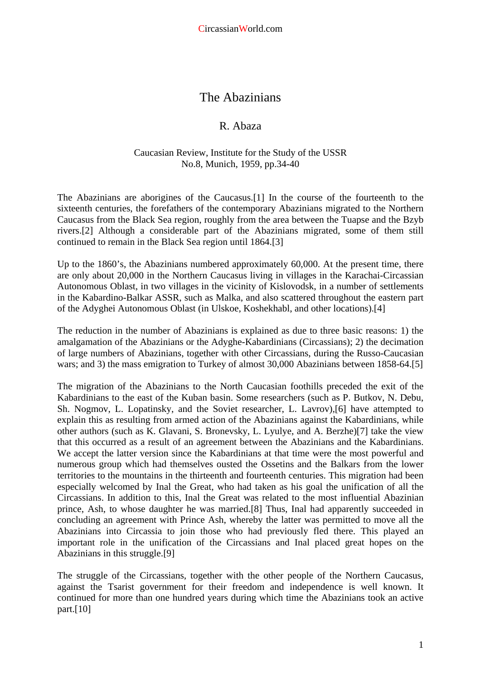## The Abazinians

## R. Abaza

## Caucasian Review, Institute for the Study of the USSR No.8, Munich, 1959, pp.34-40

The Abazinians are aborigines of the Caucasus.[1] In the course of the fourteenth to the sixteenth centuries, the forefathers of the contemporary Abazinians migrated to the Northern Caucasus from the Black Sea region, roughly from the area between the Tuapse and the Bzyb rivers.[2] Although a considerable part of the Abazinians migrated, some of them still continued to remain in the Black Sea region until 1864.[3]

Up to the 1860's, the Abazinians numbered approximately 60,000. At the present time, there are only about 20,000 in the Northern Caucasus living in villages in the Karachai-Circassian Autonomous Oblast, in two villages in the vicinity of Kislovodsk, in a number of settlements in the Kabardino-Balkar ASSR, such as Malka, and also scattered throughout the eastern part of the Adyghei Autonomous Oblast (in Ulskoe, Koshekhabl, and other locations).[4]

The reduction in the number of Abazinians is explained as due to three basic reasons: 1) the amalgamation of the Abazinians or the Adyghe-Kabardinians (Circassians); 2) the decimation of large numbers of Abazinians, together with other Circassians, during the Russo-Caucasian wars; and 3) the mass emigration to Turkey of almost 30,000 Abazinians between 1858-64.[5]

The migration of the Abazinians to the North Caucasian foothills preceded the exit of the Kabardinians to the east of the Kuban basin. Some researchers (such as P. Butkov, N. Debu, Sh. Nogmov, L. Lopatinsky, and the Soviet researcher, L. Lavrov),[6] have attempted to explain this as resulting from armed action of the Abazinians against the Kabardinians, while other authors (such as K. Glavani, S. Bronevsky, L. Lyulye, and A. Berzhe)[7] take the view that this occurred as a result of an agreement between the Abazinians and the Kabardinians. We accept the latter version since the Kabardinians at that time were the most powerful and numerous group which had themselves ousted the Ossetins and the Balkars from the lower territories to the mountains in the thirteenth and fourteenth centuries. This migration had been especially welcomed by Inal the Great, who had taken as his goal the unification of all the Circassians. In addition to this, Inal the Great was related to the most influential Abazinian prince, Ash, to whose daughter he was married.[8] Thus, Inal had apparently succeeded in concluding an agreement with Prince Ash, whereby the latter was permitted to move all the Abazinians into Circassia to join those who had previously fled there. This played an important role in the unification of the Circassians and Inal placed great hopes on the Abazinians in this struggle.[9]

The struggle of the Circassians, together with the other people of the Northern Caucasus, against the Tsarist government for their freedom and independence is well known. It continued for more than one hundred years during which time the Abazinians took an active part.[10]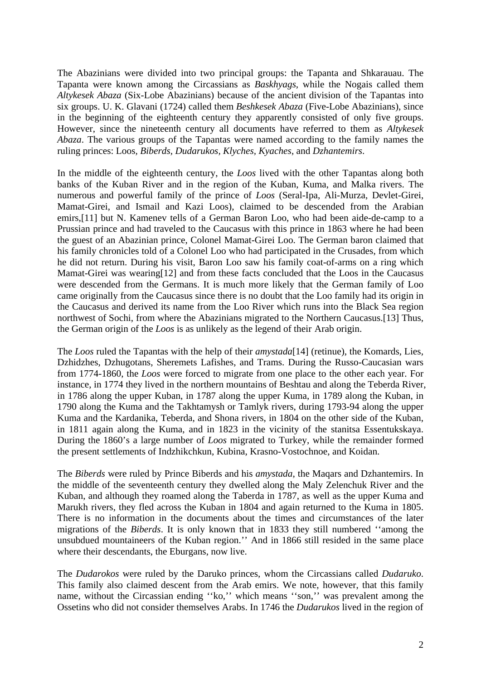The Abazinians were divided into two principal groups: the Tapanta and Shkarauau. The Tapanta were known among the Circassians as *Baskhyags*, while the Nogais called them *Altykesek Abaza* (Six-Lobe Abazinians) because of the ancient division of the Tapantas into six groups. U. K. Glavani (1724) called them *Beshkesek Abaza* (Five-Lobe Abazinians), since in the beginning of the eighteenth century they apparently consisted of only five groups. However, since the nineteenth century all documents have referred to them as *Altykesek Abaza*. The various groups of the Tapantas were named according to the family names the ruling princes: Loos*, Biberds, Dudarukos, Klyches, Kyaches*, and *Dzhantemirs*.

In the middle of the eighteenth century, the *Loos* lived with the other Tapantas along both banks of the Kuban River and in the region of the Kuban, Kuma, and Malka rivers. The numerous and powerful family of the prince of *Loos* (Seral-Ipa, Ali-Murza, Devlet-Girei, Mamat-Girei, and Ismail and Kazi Loos), claimed to be descended from the Arabian emirs,[11] but N. Kamenev tells of a German Baron Loo, who had been aide-de-camp to a Prussian prince and had traveled to the Caucasus with this prince in 1863 where he had been the guest of an Abazinian prince, Colonel Mamat-Girei Loo. The German baron claimed that his family chronicles told of a Colonel Loo who had participated in the Crusades, from which he did not return. During his visit, Baron Loo saw his family coat-of-arms on a ring which Mamat-Girei was wearing<sup>[12]</sup> and from these facts concluded that the Loos in the Caucasus were descended from the Germans. It is much more likely that the German family of Loo came originally from the Caucasus since there is no doubt that the Loo family had its origin in the Caucasus and derived its name from the Loo River which runs into the Black Sea region northwest of Sochi, from where the Abazinians migrated to the Northern Caucasus.[13] Thus, the German origin of the *Loos* is as unlikely as the legend of their Arab origin.

The *Loos* ruled the Tapantas with the help of their *amystada*[14] (retinue), the Komards, Lies, Dzhidzhes, Dzhugotans, Sheremets Lafishes, and Trams. During the Russo-Caucasian wars from 1774-1860, the *Loos* were forced to migrate from one place to the other each year. For instance, in 1774 they lived in the northern mountains of Beshtau and along the Teberda River, in 1786 along the upper Kuban, in 1787 along the upper Kuma, in 1789 along the Kuban, in 1790 along the Kuma and the Takhtamysh or Tamlyk rivers, during 1793-94 along the upper Kuma and the Kardanika, Teberda, and Shona rivers, in 1804 on the other side of the Kuban, in 1811 again along the Kuma, and in 1823 in the vicinity of the stanitsa Essentukskaya. During the 1860's a large number of *Loos* migrated to Turkey, while the remainder formed the present settlements of Indzhikchkun, Kubina, Krasno-Vostochnoe, and Koidan.

The *Biberds* were ruled by Prince Biberds and his *amystada*, the Maqars and Dzhantemirs. In the middle of the seventeenth century they dwelled along the Maly Zelenchuk River and the Kuban, and although they roamed along the Taberda in 1787, as well as the upper Kuma and Marukh rivers, they fled across the Kuban in 1804 and again returned to the Kuma in 1805. There is no information in the documents about the times and circumstances of the later migrations of the *Biberds*. It is only known that in 1833 they still numbered ''among the unsubdued mountaineers of the Kuban region.'' And in 1866 still resided in the same place where their descendants, the Eburgans, now live.

The *Dudarokos* were ruled by the Daruko princes, whom the Circassians called *Dudaruko*. This family also claimed descent from the Arab emirs. We note, however, that this family name, without the Circassian ending "ko," which means "son," was prevalent among the Ossetins who did not consider themselves Arabs. In 1746 the *Dudarukos* lived in the region of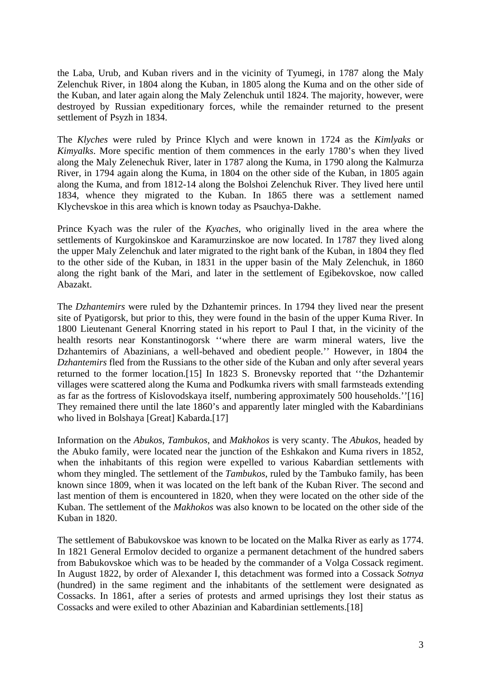the Laba, Urub, and Kuban rivers and in the vicinity of Tyumegi, in 1787 along the Maly Zelenchuk River, in 1804 along the Kuban, in 1805 along the Kuma and on the other side of the Kuban, and later again along the Maly Zelenchuk until 1824. The majority, however, were destroyed by Russian expeditionary forces, while the remainder returned to the present settlement of Psyzh in 1834.

The *Klyches* were ruled by Prince Klych and were known in 1724 as the *Kimlyaks* or *Kimyalks*. More specific mention of them commences in the early 1780's when they lived along the Maly Zelenechuk River, later in 1787 along the Kuma, in 1790 along the Kalmurza River, in 1794 again along the Kuma, in 1804 on the other side of the Kuban, in 1805 again along the Kuma, and from 1812-14 along the Bolshoi Zelenchuk River. They lived here until 1834, whence they migrated to the Kuban. In 1865 there was a settlement named Klychevskoe in this area which is known today as Psauchya-Dakhe.

Prince Kyach was the ruler of the *Kyaches*, who originally lived in the area where the settlements of Kurgokinskoe and Karamurzinskoe are now located. In 1787 they lived along the upper Maly Zelenchuk and later migrated to the right bank of the Kuban, in 1804 they fled to the other side of the Kuban, in 1831 in the upper basin of the Maly Zelenchuk, in 1860 along the right bank of the Mari, and later in the settlement of Egibekovskoe, now called Abazakt.

The *Dzhantemirs* were ruled by the Dzhantemir princes. In 1794 they lived near the present site of Pyatigorsk, but prior to this, they were found in the basin of the upper Kuma River. In 1800 Lieutenant General Knorring stated in his report to Paul I that, in the vicinity of the health resorts near Konstantinogorsk ''where there are warm mineral waters, live the Dzhantemirs of Abazinians, a well-behaved and obedient people.'' However, in 1804 the *Dzhantemirs* fled from the Russians to the other side of the Kuban and only after several years returned to the former location.[15] In 1823 S. Bronevsky reported that ''the Dzhantemir villages were scattered along the Kuma and Podkumka rivers with small farmsteads extending as far as the fortress of Kislovodskaya itself, numbering approximately 500 households.''[16] They remained there until the late 1860's and apparently later mingled with the Kabardinians who lived in Bolshaya [Great] Kabarda.[17]

Information on the *Abukos*, *Tambukos*, and *Makhokos* is very scanty. The *Abukos*, headed by the Abuko family, were located near the junction of the Eshkakon and Kuma rivers in 1852, when the inhabitants of this region were expelled to various Kabardian settlements with whom they mingled. The settlement of the *Tambukos*, ruled by the Tambuko family, has been known since 1809, when it was located on the left bank of the Kuban River. The second and last mention of them is encountered in 1820, when they were located on the other side of the Kuban. The settlement of the *Makhokos* was also known to be located on the other side of the Kuban in 1820.

The settlement of Babukovskoe was known to be located on the Malka River as early as 1774. In 1821 General Ermolov decided to organize a permanent detachment of the hundred sabers from Babukovskoe which was to be headed by the commander of a Volga Cossack regiment. In August 1822, by order of Alexander I, this detachment was formed into a Cossack *Sotnya* (hundred) in the same regiment and the inhabitants of the settlement were designated as Cossacks. In 1861, after a series of protests and armed uprisings they lost their status as Cossacks and were exiled to other Abazinian and Kabardinian settlements.[18]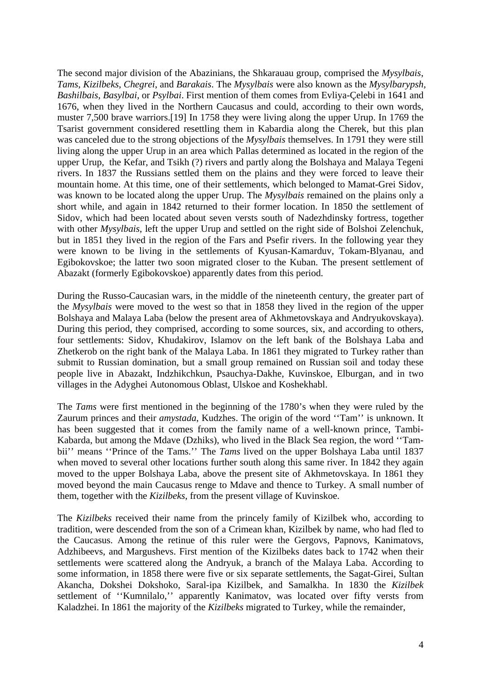The second major division of the Abazinians, the Shkarauau group, comprised the *Mysylbais*, *Tams*, *Kizilbeks*, *Chegrei*, and *Barakais*. The *Mysylbais* were also known as the *Mysylbarypsh, Bashilbais*, *Basylbai*, or *Psylbai*. First mention of them comes from Evliya-Çelebi in 1641 and 1676, when they lived in the Northern Caucasus and could, according to their own words, muster 7,500 brave warriors.[19] In 1758 they were living along the upper Urup. In 1769 the Tsarist government considered resettling them in Kabardia along the Cherek, but this plan was canceled due to the strong objections of the *Mysylbais* themselves. In 1791 they were still living along the upper Urup in an area which Pallas determined as located in the region of the upper Urup, the Kefar, and Tsikh (?) rivers and partly along the Bolshaya and Malaya Tegeni rivers. In 1837 the Russians settled them on the plains and they were forced to leave their mountain home. At this time, one of their settlements, which belonged to Mamat-Grei Sidov, was known to be located along the upper Urup. The *Mysylbais* remained on the plains only a short while, and again in 1842 returned to their former location. In 1850 the settlement of Sidov, which had been located about seven versts south of Nadezhdinsky fortress, together with other *Mysylbais*, left the upper Urup and settled on the right side of Bolshoi Zelenchuk, but in 1851 they lived in the region of the Fars and Psefir rivers. In the following year they were known to be living in the settlements of Kyusan-Kamarduv, Tokam-Blyanau, and Egibokovskoe; the latter two soon migrated closer to the Kuban. The present settlement of Abazakt (formerly Egibokovskoe) apparently dates from this period.

During the Russo-Caucasian wars, in the middle of the nineteenth century, the greater part of the *Mysylbais* were moved to the west so that in 1858 they lived in the region of the upper Bolshaya and Malaya Laba (below the present area of Akhmetovskaya and Andryukovskaya). During this period, they comprised, according to some sources, six, and according to others, four settlements: Sidov, Khudakirov, Islamov on the left bank of the Bolshaya Laba and Zhetkerob on the right bank of the Malaya Laba. In 1861 they migrated to Turkey rather than submit to Russian domination, but a small group remained on Russian soil and today these people live in Abazakt, Indzhikchkun, Psauchya-Dakhe, Kuvinskoe, Elburgan, and in two villages in the Adyghei Autonomous Oblast, Ulskoe and Koshekhabl.

The *Tams* were first mentioned in the beginning of the 1780's when they were ruled by the Zaurum princes and their *amystada*, Kudzhes. The origin of the word ''Tam'' is unknown. It has been suggested that it comes from the family name of a well-known prince, Tambi-Kabarda, but among the Mdave (Dzhiks), who lived in the Black Sea region, the word ''Tambii" means "Prince of the Tams." The *Tams* lived on the upper Bolshaya Laba until 1837 when moved to several other locations further south along this same river. In 1842 they again moved to the upper Bolshaya Laba, above the present site of Akhmetovskaya. In 1861 they moved beyond the main Caucasus renge to Mdave and thence to Turkey. A small number of them, together with the *Kizilbeks*, from the present village of Kuvinskoe.

The *Kizilbeks* received their name from the princely family of Kizilbek who, according to tradition, were descended from the son of a Crimean khan, Kizilbek by name, who had fled to the Caucasus. Among the retinue of this ruler were the Gergovs, Papnovs, Kanimatovs, Adzhibeevs, and Margushevs. First mention of the Kizilbeks dates back to 1742 when their settlements were scattered along the Andryuk, a branch of the Malaya Laba. According to some information, in 1858 there were five or six separate settlements, the Sagat-Girei, Sultan Akancha, Dokshei Dokshoko, Saral-ipa Kizilbek, and Samalkha. In 1830 the *Kizilbek* settlement of ''Kumnilalo,'' apparently Kanimatov, was located over fifty versts from Kaladzhei. In 1861 the majority of the *Kizilbeks* migrated to Turkey, while the remainder,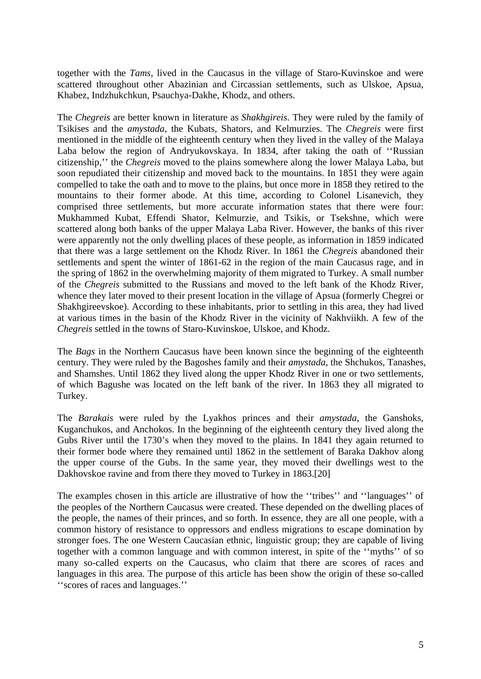together with the *Tams*, lived in the Caucasus in the village of Staro-Kuvinskoe and were scattered throughout other Abazinian and Circassian settlements, such as Ulskoe, Apsua, Khabez, Indzhukchkun, Psauchya-Dakhe, Khodz, and others.

The *Chegreis* are better known in literature as *Shakhgireis*. They were ruled by the family of Tsikises and the *amystada*, the Kubats, Shators, and Kelmurzies. The *Chegreis* were first mentioned in the middle of the eighteenth century when they lived in the valley of the Malaya Laba below the region of Andryukovskaya. In 1834, after taking the oath of ''Russian citizenship,'' the *Chegreis* moved to the plains somewhere along the lower Malaya Laba, but soon repudiated their citizenship and moved back to the mountains. In 1851 they were again compelled to take the oath and to move to the plains, but once more in 1858 they retired to the mountains to their former abode. At this time, according to Colonel Lisanevich, they comprised three settlements, but more accurate information states that there were four: Mukhammed Kubat, Effendi Shator, Kelmurzie, and Tsikis, or Tsekshne, which were scattered along both banks of the upper Malaya Laba River. However, the banks of this river were apparently not the only dwelling places of these people, as information in 1859 indicated that there was a large settlement on the Khodz River. In 1861 the *Chegreis* abandoned their settlements and spent the winter of 1861-62 in the region of the main Caucasus rage, and in the spring of 1862 in the overwhelming majority of them migrated to Turkey. A small number of the *Chegreis* submitted to the Russians and moved to the left bank of the Khodz River, whence they later moved to their present location in the village of Apsua (formerly Chegrei or Shakhgireevskoe). According to these inhabitants, prior to settling in this area, they had lived at various times in the basin of the Khodz River in the vicinity of Nakhviikh. A few of the *Chegreis* settled in the towns of Staro-Kuvinskoe, Ulskoe, and Khodz.

The *Bags* in the Northern Caucasus have been known since the beginning of the eighteenth century. They were ruled by the Bagoshes family and their *amystada*, the Shchukos, Tanashes, and Shamshes. Until 1862 they lived along the upper Khodz River in one or two settlements, of which Bagushe was located on the left bank of the river. In 1863 they all migrated to Turkey.

The *Barakais* were ruled by the Lyakhos princes and their *amystada*, the Ganshoks, Kuganchukos, and Anchokos. In the beginning of the eighteenth century they lived along the Gubs River until the 1730's when they moved to the plains. In 1841 they again returned to their former bode where they remained until 1862 in the settlement of Baraka Dakhov along the upper course of the Gubs. In the same year, they moved their dwellings west to the Dakhovskoe ravine and from there they moved to Turkey in 1863.[20]

The examples chosen in this article are illustrative of how the ''tribes'' and ''languages'' of the peoples of the Northern Caucasus were created. These depended on the dwelling places of the people, the names of their princes, and so forth. In essence, they are all one people, with a common history of resistance to oppressors and endless migrations to escape domination by stronger foes. The one Western Caucasian ethnic, linguistic group; they are capable of living together with a common language and with common interest, in spite of the ''myths'' of so many so-called experts on the Caucasus, who claim that there are scores of races and languages in this area. The purpose of this article has been show the origin of these so-called ''scores of races and languages.''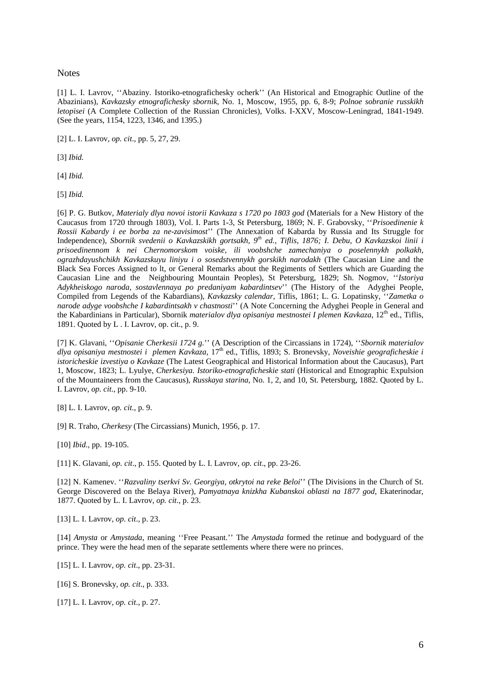**Notes** 

[1] L. I. Lavrov, ''Abaziny. Istoriko-etnografichesky ocherk'' (An Historical and Etnographic Outline of the Abazinians), *Kavkazsky etnografichesky sbornik*, No. 1, Moscow, 1955, pp. 6, 8-9; *Polnoe sobranie russkikh letopisei* (A Complete Collection of the Russian Chronicles), Volks. I-XXV, Moscow-Leningrad, 1841-1949. (See the years, 1154, 1223, 1346, and 1395.)

[2] L. I. Lavrov, *op. cit*., pp. 5, 27, 29.

[3] *Ibid.*

[4] *Ibid.*

[5] *Ibid.*

[6] P. G. Butkov, *Materialy dlya novoi istorii Kavkaza s 1720 po 1803 god* (Materials for a New History of the Caucasus from 1720 through 1803), Vol. I. Parts 1-3, St Petersburg, 1869; N. F. Grabovsky, ''*Prisoedinenie k Rossii Kabardy i ee borba za ne-zavisimost*'' (The Annexation of Kabarda by Russia and Its Struggle for Independence), *Sbornik svedenii o Kavkazskikh gortsakh, 9th ed., Tiflis, 1876; I. Debu, O Kavkazskoi linii i prisoedinennom k nei Chernomorskom voiske, ili voobshche zamechaniya o poselennykh polkakh, ograzhdayushchikh Kavkazskuyu liniyu i o sosedstvennykh gorskikh narodakh* (The Caucasian Line and the Black Sea Forces Assigned to lt, or General Remarks about the Regiments of Settlers which are Guarding the Caucasian Line and the Neighbouring Mountain Peoples), St Petersburg, 1829; Sh. Nogmov, ''*Istoriya Adykheiskogo naroda, sostavlennaya po predaniyam kabardintsev*'' (The History of the Adyghei People, Compiled from Legends of the Kabardians), *Kavkazsky calendar*, Tiflis, 1861; L. G. Lopatinsky, ''*Zametka o narode adyge voobshche I kabardintsakh v chastnosti*'' (A Note Concerning the Adyghei People in General and the Kabardinians in Particular), Sbornik *materialov dlya opisaniya mestnostei I plemen Kavkaza*, 12<sup>th</sup> ed., Tiflis, 1891. Quoted by L . I. Lavrov, op. cit., p. 9.

[7] K. Glavani, ''*Opisanie Cherkesii 1724 g.*'' (A Description of the Circassians in 1724), ''*Sbornik materialov dlya opisaniya mestnostei i plemen Kavkaza*, 17th ed., Tiflis, 1893; S. Bronevsky, *Noveishie geograficheskie i istoricheskie izvestiya o Kavkaze* (The Latest Geographical and Historical Information about the Caucasus), Part 1, Moscow, 1823; L. Lyulye, *Cherkesiya. Istoriko-etnograficheskie stati* (Historical and Etnographic Expulsion of the Mountaineers from the Caucasus), *Russkaya starina*, No. 1, 2, and 10, St. Petersburg, 1882. Quoted by L. I. Lavrov, *op. cit*., pp. 9-10.

[8] L. I. Lavrov, *op. cit*., p. 9.

[9] R. Traho, *Cherkesy* (The Circassians) Munich, 1956, p. 17.

[10] *Ibid*., pp. 19-105.

[11] K. Glavani, *op. cit*., p. 155. Quoted by L. I. Lavrov, *op. cit*., pp. 23-26.

[12] N. Kamenev. ''*Razvaliny tserkvi Sv. Georgiya, otkrytoi na reke Beloi*'' (The Divisions in the Church of St. George Discovered on the Belaya River), *Pamyatnaya knizkha Kubanskoi oblasti na 1877 god*, Ekaterinodar, 1877. Quoted by L. I. Lavrov, *op. cit*., p. 23.

[13] L. I. Lavrov, *op. cit*., p. 23.

[14] *Amysta* or *Amystada*, meaning ''Free Peasant.'' The *Amystada* formed the retinue and bodyguard of the prince. They were the head men of the separate settlements where there were no princes.

[15] L. I. Lavrov, *op. cit*., pp. 23-31.

[16] S. Bronevsky, *op. cit*., p. 333.

[17] L. I. Lavrov, *op. cit*., p. 27.